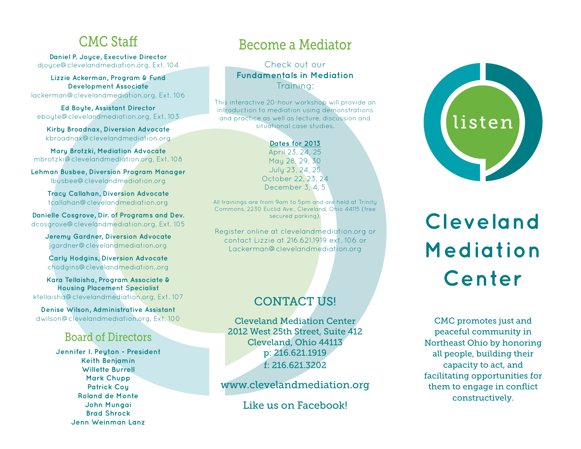### CMC Staff

**Daniel P. Joyce, Executive Director** djoyce@clevelandmediation.org, Ext. 104

**Lizzie Ackerman, Program & Fund Development Associate** lackerman@clevelandmediation.org, Ext. 106

**Ed Boyte, Assistant Director** eboyte@clevelandmediation.org, Ext. 103

**Kirby Broadnax, Diversion Advocate** kbroadnax@clevelandmediation.org

**Mary Brotzki, Mediation Advocate** mbrotzki@clevelandmediation.org, Ext. 108

**Lehman Busbee, Diversion Program Manager** lbusbee@clevelandmediation.org

> **Tracy Callahan, Diversion Advocate** tcallahan@clevelandmediation.org

**Danielle Cosgrove, Dir. of Programs and Dev.**  dcosgrove@clevelandmediation.org, Ext. 105

**Jeremy Gardner, Diversion Advocate** jgardner@clevelandmediation.org

**Carly Hodgins, Diversion Advocate** chodgins@clevelandmediation,.org

**Kara Tellaisha, Program Associate & Housing Placement Specialist** ktellaisha@clevelandmediation.org, Ext. 107

**Denise Wilson, Administrative Assistant** dwilson@clevelandmediation.org, Ext. 100

### Board of Directors

**Jennifer I. Peyton - President Keith Benjamin Willette Burrell Mark Chupp Patrick Coy Roland de MonteJohn Mungai Brad ShrockJenn Weinman Lanz**

# Become a Mediator

Check out our **Fundamentals in Mediation** Training:

This interactive 20-hour workshop will provide an introduction to mediation using demonstrations and practice as well as lecture, discussion and situational case studies.

#### **Dates for 2013**

April 23, 24, 25 May 28, 29, 30 July 23, 24, 25 October 22, 23, 24 December 3, 4, 5

All trainings are from 9am to 5pm and are held at Trinity Commons, 2230 Euclid Ave., Cleveland, Ohio 44115 (free secured parking).

Register online at clevelandmediation.org or contact Lizzie at 216.621.1919 ext. 106 orLackerman@clevelandmediation.org

### CONTACT US!

Cleveland Mediation Center2012 West 25th Street, Suite 412 Cleveland, Ohio 44113 p: 216.621.1919 f: 216.621.3202

www.clevelandmediation.org

Like us on Facebook!



Cleveland Mediation Center

CMC promotes just and peaceful community in Northeast Ohio by honoring all people, building their capacity to act, and facilitating opportunities for them to engage in conflict constructively.